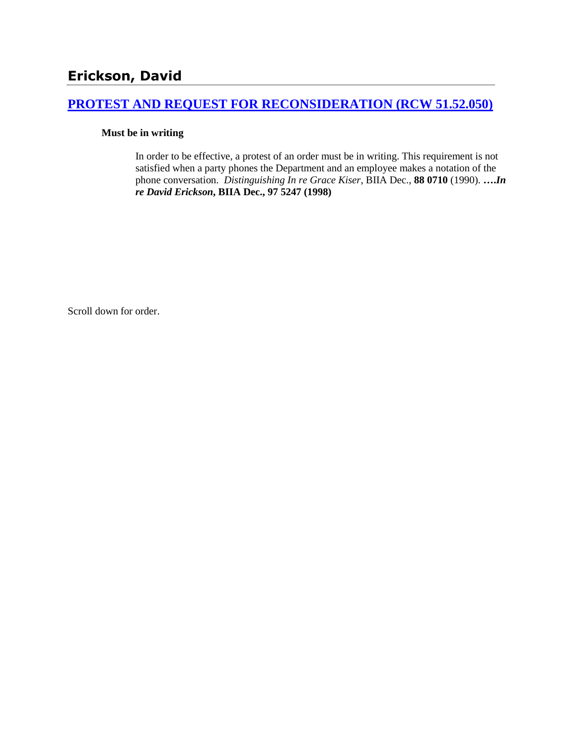### **[PROTEST AND REQUEST FOR RECONSIDERATION \(RCW 51.52.050\)](http://www.biia.wa.gov/SDSubjectIndex.html#PROTEST_AND_REQUEST_FOR_RECONSIDERATION)**

#### **Must be in writing**

In order to be effective, a protest of an order must be in writing. This requirement is not satisfied when a party phones the Department and an employee makes a notation of the phone conversation. *Distinguishing In re Grace Kiser*, BIIA Dec., **88 0710** (1990). **….***In re David Erickson***, BIIA Dec., 97 5247 (1998)** 

Scroll down for order.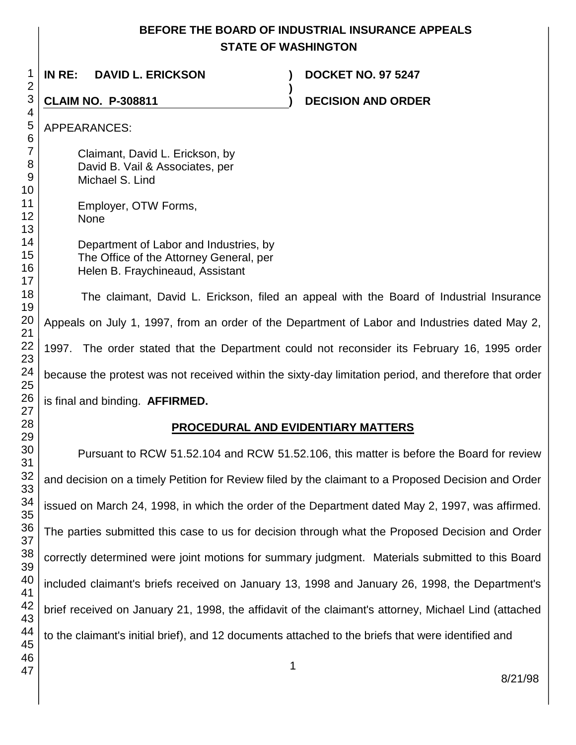# **BEFORE THE BOARD OF INDUSTRIAL INSURANCE APPEALS STATE OF WASHINGTON**

 **IN RE: DAVID L. ERICKSON ) DOCKET NO. 97 5247 ) CLAIM NO. P-308811 ) DECISION AND ORDER**  APPEARANCES: Claimant, David L. Erickson, by David B. Vail & Associates, per Michael S. Lind Employer, OTW Forms, None Department of Labor and Industries, by The Office of the Attorney General, per Helen B. Fraychineaud, Assistant The claimant, David L. Erickson, filed an appeal with the Board of Industrial Insurance Appeals on July 1, 1997, from an order of the Department of Labor and Industries dated May 2, 1997. The order stated that the Department could not reconsider its February 16, 1995 order because the protest was not received within the sixty-day limitation period, and therefore that order is final and binding. **AFFIRMED. PROCEDURAL AND EVIDENTIARY MATTERS** Pursuant to RCW 51.52.104 and RCW 51.52.106, this matter is before the Board for review and decision on a timely Petition for Review filed by the claimant to a Proposed Decision and Order issued on March 24, 1998, in which the order of the Department dated May 2, 1997, was affirmed. The parties submitted this case to us for decision through what the Proposed Decision and Order

correctly determined were joint motions for summary judgment. Materials submitted to this Board included claimant's briefs received on January 13, 1998 and January 26, 1998, the Department's brief received on January 21, 1998, the affidavit of the claimant's attorney, Michael Lind (attached to the claimant's initial brief), and 12 documents attached to the briefs that were identified and

8/21/98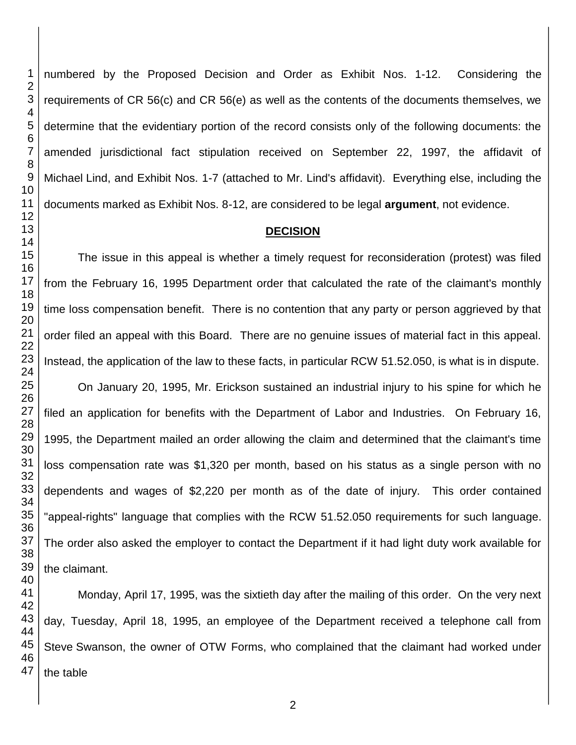numbered by the Proposed Decision and Order as Exhibit Nos. 1-12. Considering the requirements of CR 56(c) and CR 56(e) as well as the contents of the documents themselves, we determine that the evidentiary portion of the record consists only of the following documents: the amended jurisdictional fact stipulation received on September 22, 1997, the affidavit of Michael Lind, and Exhibit Nos. 1-7 (attached to Mr. Lind's affidavit). Everything else, including the documents marked as Exhibit Nos. 8-12, are considered to be legal **argument**, not evidence.

### **DECISION**

The issue in this appeal is whether a timely request for reconsideration (protest) was filed from the February 16, 1995 Department order that calculated the rate of the claimant's monthly time loss compensation benefit. There is no contention that any party or person aggrieved by that order filed an appeal with this Board. There are no genuine issues of material fact in this appeal. Instead, the application of the law to these facts, in particular RCW 51.52.050, is what is in dispute. On January 20, 1995, Mr. Erickson sustained an industrial injury to his spine for which he filed an application for benefits with the Department of Labor and Industries. On February 16, 1995, the Department mailed an order allowing the claim and determined that the claimant's time loss compensation rate was \$1,320 per month, based on his status as a single person with no dependents and wages of \$2,220 per month as of the date of injury. This order contained "appeal-rights" language that complies with the RCW 51.52.050 requirements for such language. The order also asked the employer to contact the Department if it had light duty work available for the claimant.

Monday, April 17, 1995, was the sixtieth day after the mailing of this order. On the very next day, Tuesday, April 18, 1995, an employee of the Department received a telephone call from Steve Swanson, the owner of OTW Forms, who complained that the claimant had worked under the table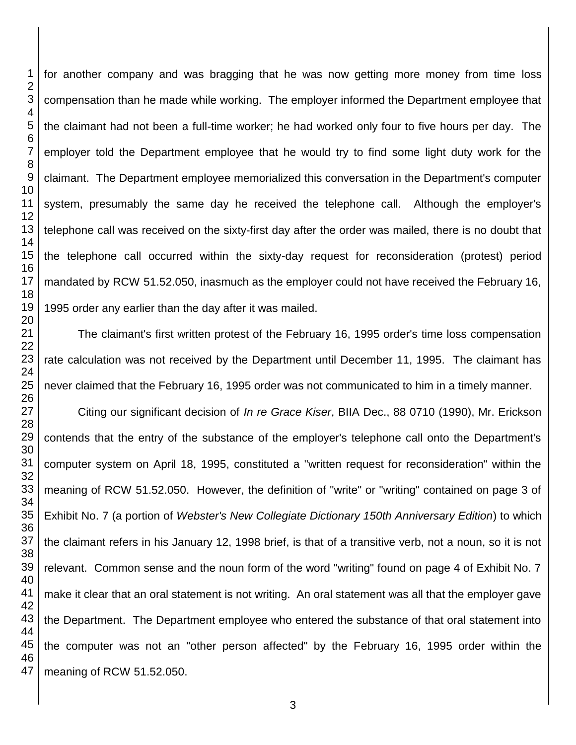for another company and was bragging that he was now getting more money from time loss compensation than he made while working. The employer informed the Department employee that the claimant had not been a full-time worker; he had worked only four to five hours per day. The employer told the Department employee that he would try to find some light duty work for the claimant. The Department employee memorialized this conversation in the Department's computer system, presumably the same day he received the telephone call. Although the employer's telephone call was received on the sixty-first day after the order was mailed, there is no doubt that the telephone call occurred within the sixty-day request for reconsideration (protest) period mandated by RCW 51.52.050, inasmuch as the employer could not have received the February 16, 1995 order any earlier than the day after it was mailed.

The claimant's first written protest of the February 16, 1995 order's time loss compensation rate calculation was not received by the Department until December 11, 1995. The claimant has never claimed that the February 16, 1995 order was not communicated to him in a timely manner.

 Citing our significant decision of *In re Grace Kiser*, BIIA Dec., 88 0710 (1990), Mr. Erickson contends that the entry of the substance of the employer's telephone call onto the Department's computer system on April 18, 1995, constituted a "written request for reconsideration" within the meaning of RCW 51.52.050. However, the definition of "write" or "writing" contained on page 3 of Exhibit No. 7 (a portion of *Webster's New Collegiate Dictionary 150th Anniversary Edition*) to which the claimant refers in his January 12, 1998 brief, is that of a transitive verb, not a noun, so it is not relevant. Common sense and the noun form of the word "writing" found on page 4 of Exhibit No. 7 make it clear that an oral statement is not writing. An oral statement was all that the employer gave the Department. The Department employee who entered the substance of that oral statement into the computer was not an "other person affected" by the February 16, 1995 order within the meaning of RCW 51.52.050.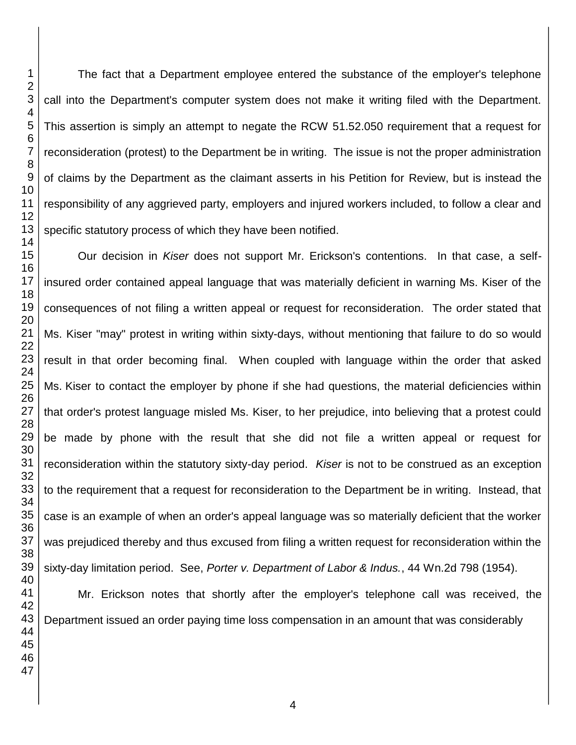The fact that a Department employee entered the substance of the employer's telephone call into the Department's computer system does not make it writing filed with the Department. This assertion is simply an attempt to negate the RCW 51.52.050 requirement that a request for reconsideration (protest) to the Department be in writing. The issue is not the proper administration of claims by the Department as the claimant asserts in his Petition for Review, but is instead the responsibility of any aggrieved party, employers and injured workers included, to follow a clear and specific statutory process of which they have been notified.

Our decision in *Kiser* does not support Mr. Erickson's contentions. In that case, a selfinsured order contained appeal language that was materially deficient in warning Ms. Kiser of the consequences of not filing a written appeal or request for reconsideration. The order stated that Ms. Kiser "may" protest in writing within sixty-days, without mentioning that failure to do so would result in that order becoming final. When coupled with language within the order that asked Ms. Kiser to contact the employer by phone if she had questions, the material deficiencies within that order's protest language misled Ms. Kiser, to her prejudice, into believing that a protest could be made by phone with the result that she did not file a written appeal or request for reconsideration within the statutory sixty-day period. *Kiser* is not to be construed as an exception to the requirement that a request for reconsideration to the Department be in writing. Instead, that case is an example of when an order's appeal language was so materially deficient that the worker was prejudiced thereby and thus excused from filing a written request for reconsideration within the sixty-day limitation period. See, *Porter v. Department of Labor & Indus.*, 44 Wn.2d 798 (1954).

Mr. Erickson notes that shortly after the employer's telephone call was received, the Department issued an order paying time loss compensation in an amount that was considerably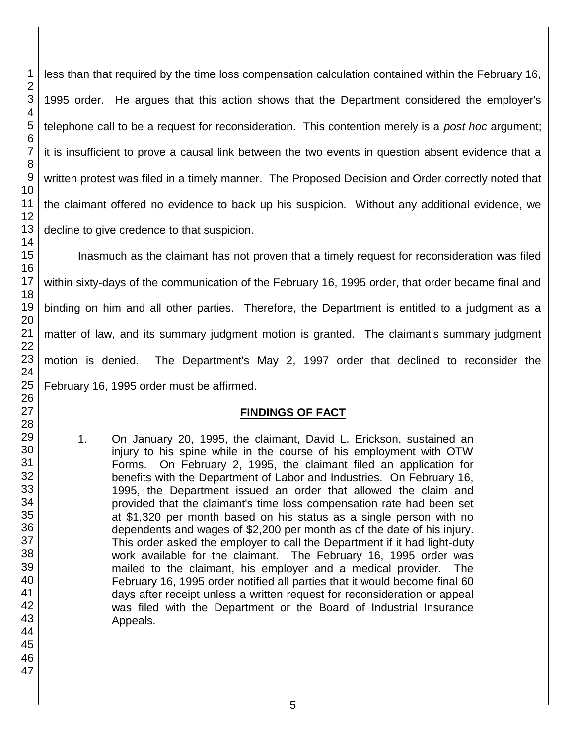less than that required by the time loss compensation calculation contained within the February 16, 1995 order. He argues that this action shows that the Department considered the employer's telephone call to be a request for reconsideration. This contention merely is a *post hoc* argument; it is insufficient to prove a causal link between the two events in question absent evidence that a written protest was filed in a timely manner. The Proposed Decision and Order correctly noted that the claimant offered no evidence to back up his suspicion. Without any additional evidence, we decline to give credence to that suspicion.

Inasmuch as the claimant has not proven that a timely request for reconsideration was filed within sixty-days of the communication of the February 16, 1995 order, that order became final and binding on him and all other parties. Therefore, the Department is entitled to a judgment as a matter of law, and its summary judgment motion is granted. The claimant's summary judgment motion is denied. The Department's May 2, 1997 order that declined to reconsider the February 16, 1995 order must be affirmed.

# **FINDINGS OF FACT**

- 1. On January 20, 1995, the claimant, David L. Erickson, sustained an injury to his spine while in the course of his employment with OTW Forms. On February 2, 1995, the claimant filed an application for benefits with the Department of Labor and Industries. On February 16, 1995, the Department issued an order that allowed the claim and provided that the claimant's time loss compensation rate had been set at \$1,320 per month based on his status as a single person with no dependents and wages of \$2,200 per month as of the date of his injury. This order asked the employer to call the Department if it had light-duty work available for the claimant. The February 16, 1995 order was mailed to the claimant, his employer and a medical provider. The February 16, 1995 order notified all parties that it would become final 60 days after receipt unless a written request for reconsideration or appeal was filed with the Department or the Board of Industrial Insurance Appeals.
-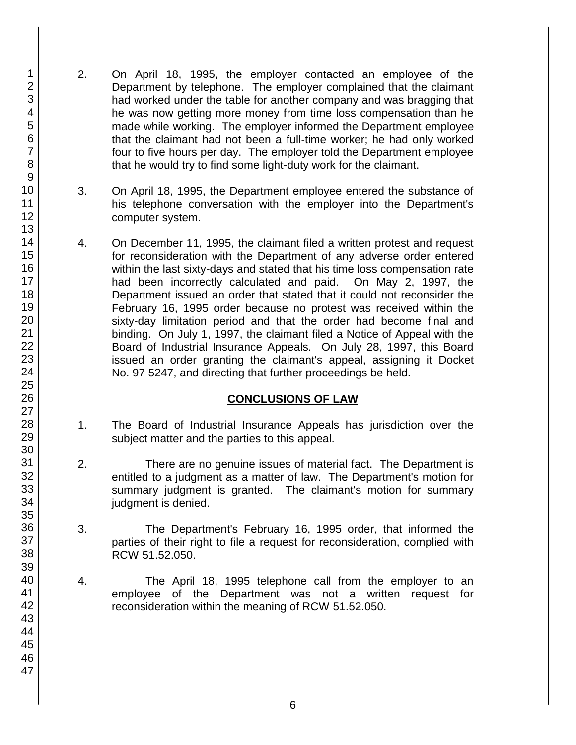- 2. On April 18, 1995, the employer contacted an employee of the Department by telephone. The employer complained that the claimant had worked under the table for another company and was bragging that he was now getting more money from time loss compensation than he made while working. The employer informed the Department employee that the claimant had not been a full-time worker; he had only worked four to five hours per day. The employer told the Department employee that he would try to find some light-duty work for the claimant.
- 3. On April 18, 1995, the Department employee entered the substance of his telephone conversation with the employer into the Department's computer system.
- 4. On December 11, 1995, the claimant filed a written protest and request for reconsideration with the Department of any adverse order entered within the last sixty-days and stated that his time loss compensation rate had been incorrectly calculated and paid. On May 2, 1997, the Department issued an order that stated that it could not reconsider the February 16, 1995 order because no protest was received within the sixty-day limitation period and that the order had become final and binding. On July 1, 1997, the claimant filed a Notice of Appeal with the Board of Industrial Insurance Appeals. On July 28, 1997, this Board issued an order granting the claimant's appeal, assigning it Docket No. 97 5247, and directing that further proceedings be held.

# **CONCLUSIONS OF LAW**

- 1. The Board of Industrial Insurance Appeals has jurisdiction over the subject matter and the parties to this appeal.
- 2. There are no genuine issues of material fact. The Department is entitled to a judgment as a matter of law. The Department's motion for summary judgment is granted. The claimant's motion for summary judgment is denied.
- 3. The Department's February 16, 1995 order, that informed the parties of their right to file a request for reconsideration, complied with RCW 51.52.050.
- 4. The April 18, 1995 telephone call from the employer to an employee of the Department was not a written request for reconsideration within the meaning of RCW 51.52.050.